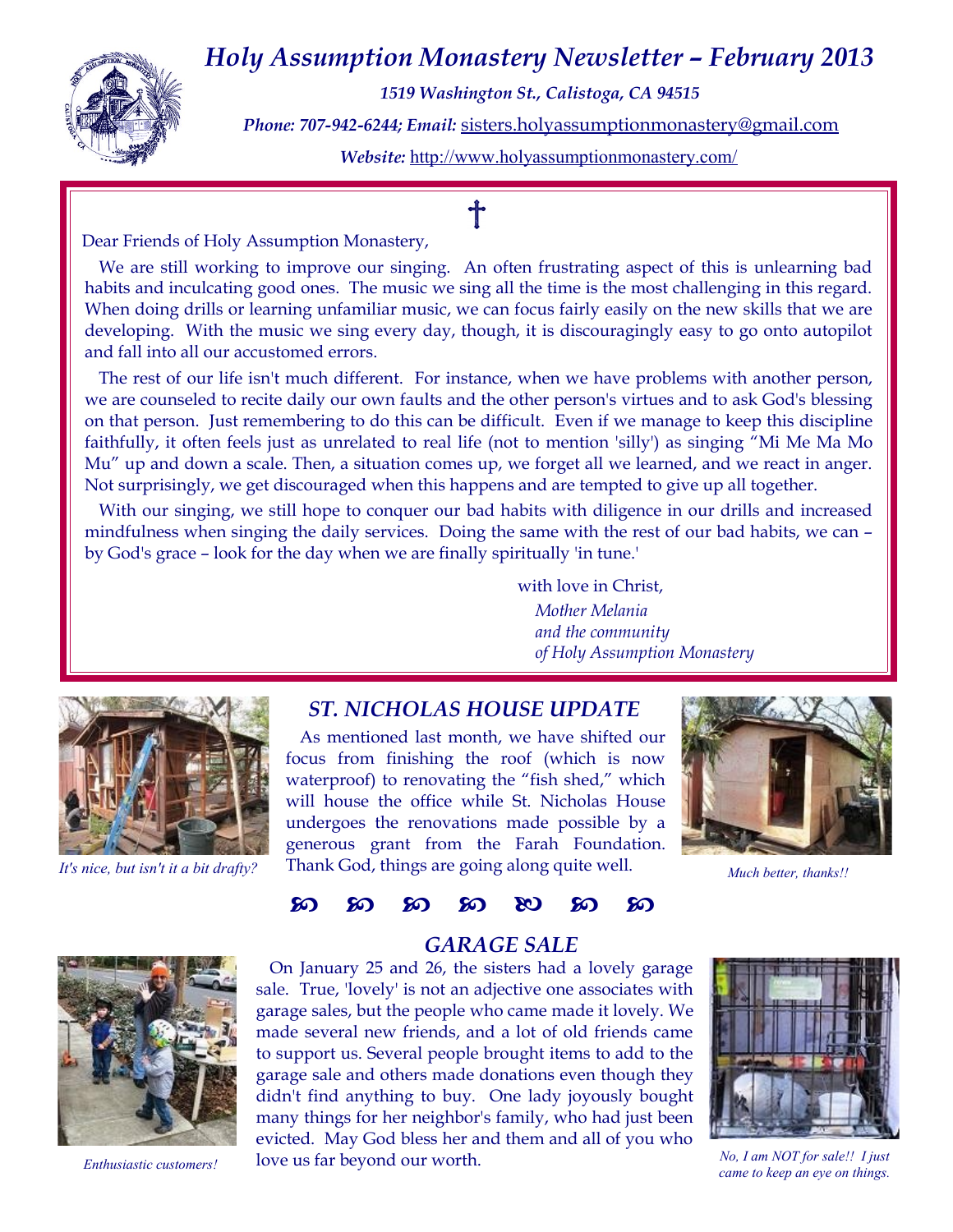## *Holy Assumption Monastery Newsletter – February 2013*



*1519 Washington St., Calistoga, CA 94515 Phone: 707-942-6244; Email:* [sisters.holyassumptionmonastery@gmail.com](mailto:sisters.holyassumptionmonastery@gmail.com) *Website:* <http://www.holyassumptionmonastery.com/>

Dear Friends of Holy Assumption Monastery,

We are still working to improve our singing. An often frustrating aspect of this is unlearning bad habits and inculcating good ones. The music we sing all the time is the most challenging in this regard. When doing drills or learning unfamiliar music, we can focus fairly easily on the new skills that we are developing. With the music we sing every day, though, it is discouragingly easy to go onto autopilot and fall into all our accustomed errors.

The rest of our life isn't much different. For instance, when we have problems with another person, we are counseled to recite daily our own faults and the other person's virtues and to ask God's blessing on that person. Just remembering to do this can be difficult. Even if we manage to keep this discipline faithfully, it often feels just as unrelated to real life (not to mention 'silly') as singing "Mi Me Ma Mo Mu" up and down a scale. Then, a situation comes up, we forget all we learned, and we react in anger. Not surprisingly, we get discouraged when this happens and are tempted to give up all together.

With our singing, we still hope to conquer our bad habits with diligence in our drills and increased mindfulness when singing the daily services. Doing the same with the rest of our bad habits, we can – by God's grace – look for the day when we are finally spiritually 'in tune.'

> with love in Christ, *Mother Melania and the community*

*of Holy Assumption Monastery*



*It's nice, but isn't it a bit drafty?*

#### *ST. NICHOLAS HOUSE UPDATE*

As mentioned last month, we have shifted our focus from finishing the roof (which is now waterproof) to renovating the "fish shed," which will house the office while St. Nicholas House undergoes the renovations made possible by a generous grant from the Farah Foundation. Thank God, things are going along quite well.



*Much better, thanks!!*



## **හි හි හි හි හි හි**

#### *GARAGE SALE*

On January 25 and 26, the sisters had a lovely garage sale. True, 'lovely' is not an adjective one associates with garage sales, but the people who came made it lovely. We made several new friends, and a lot of old friends came to support us. Several people brought items to add to the garage sale and others made donations even though they didn't find anything to buy. One lady joyously bought many things for her neighbor's family, who had just been evicted. May God bless her and them and all of you who love us far beyond our worth. *Enthusiastic customers!* IOVE US Tar beyond our worth.<br> *came to keep an eye on things. came to keep an eye on things.* 



*No, I am NOT for sale!! I just*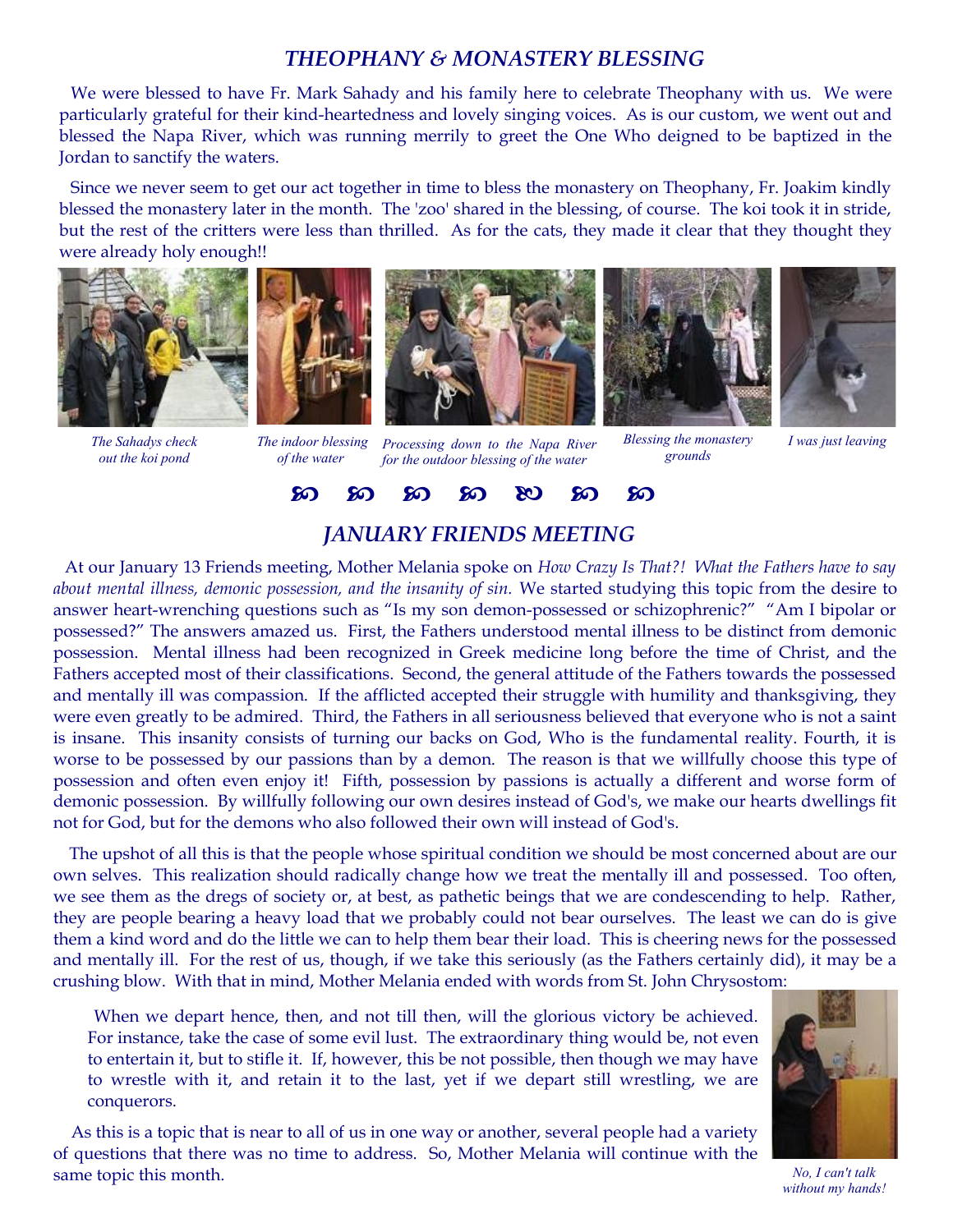#### *THEOPHANY & MONASTERY BLESSING*

We were blessed to have Fr. Mark Sahady and his family here to celebrate Theophany with us. We were particularly grateful for their kind-heartedness and lovely singing voices. As is our custom, we went out and blessed the Napa River, which was running merrily to greet the One Who deigned to be baptized in the Jordan to sanctify the waters.

Since we never seem to get our act together in time to bless the monastery on Theophany, Fr. Joakim kindly blessed the monastery later in the month. The 'zoo' shared in the blessing, of course. The koi took it in stride, but the rest of the critters were less than thrilled. As for the cats, they made it clear that they thought they were already holy enough!!



*The Sahadys check out the koi pond*



*of the water* 



*Processing down to the Napa River The indoor blessing for the outdoor blessing of the water*





*Blessing the monastery grounds*

*I was just leaving*



#### *JANUARY FRIENDS MEETING*

At our January 13 Friends meeting, Mother Melania spoke on *How Crazy Is That?! What the Fathers have to say about mental illness, demonic possession, and the insanity of sin.* We started studying this topic from the desire to answer heart-wrenching questions such as "Is my son demon-possessed or schizophrenic?" "Am I bipolar or possessed?" The answers amazed us. First, the Fathers understood mental illness to be distinct from demonic possession. Mental illness had been recognized in Greek medicine long before the time of Christ, and the Fathers accepted most of their classifications. Second, the general attitude of the Fathers towards the possessed and mentally ill was compassion. If the afflicted accepted their struggle with humility and thanksgiving, they were even greatly to be admired. Third, the Fathers in all seriousness believed that everyone who is not a saint is insane. This insanity consists of turning our backs on God, Who is the fundamental reality. Fourth, it is worse to be possessed by our passions than by a demon. The reason is that we willfully choose this type of possession and often even enjoy it! Fifth, possession by passions is actually a different and worse form of demonic possession. By willfully following our own desires instead of God's, we make our hearts dwellings fit not for God, but for the demons who also followed their own will instead of God's.

The upshot of all this is that the people whose spiritual condition we should be most concerned about are our own selves. This realization should radically change how we treat the mentally ill and possessed. Too often, we see them as the dregs of society or, at best, as pathetic beings that we are condescending to help. Rather, they are people bearing a heavy load that we probably could not bear ourselves. The least we can do is give them a kind word and do the little we can to help them bear their load. This is cheering news for the possessed and mentally ill. For the rest of us, though, if we take this seriously (as the Fathers certainly did), it may be a crushing blow. With that in mind, Mother Melania ended with words from St. John Chrysostom:

When we depart hence, then, and not till then, will the glorious victory be achieved. For instance, take the case of some evil lust. The extraordinary thing would be, not even to entertain it, but to stifle it. If, however, this be not possible, then though we may have to wrestle with it, and retain it to the last, yet if we depart still wrestling, we are conquerors.

As this is a topic that is near to all of us in one way or another, several people had a variety of questions that there was no time to address. So, Mother Melania will continue with the same topic this month.



*No, I can't talk without my hands!*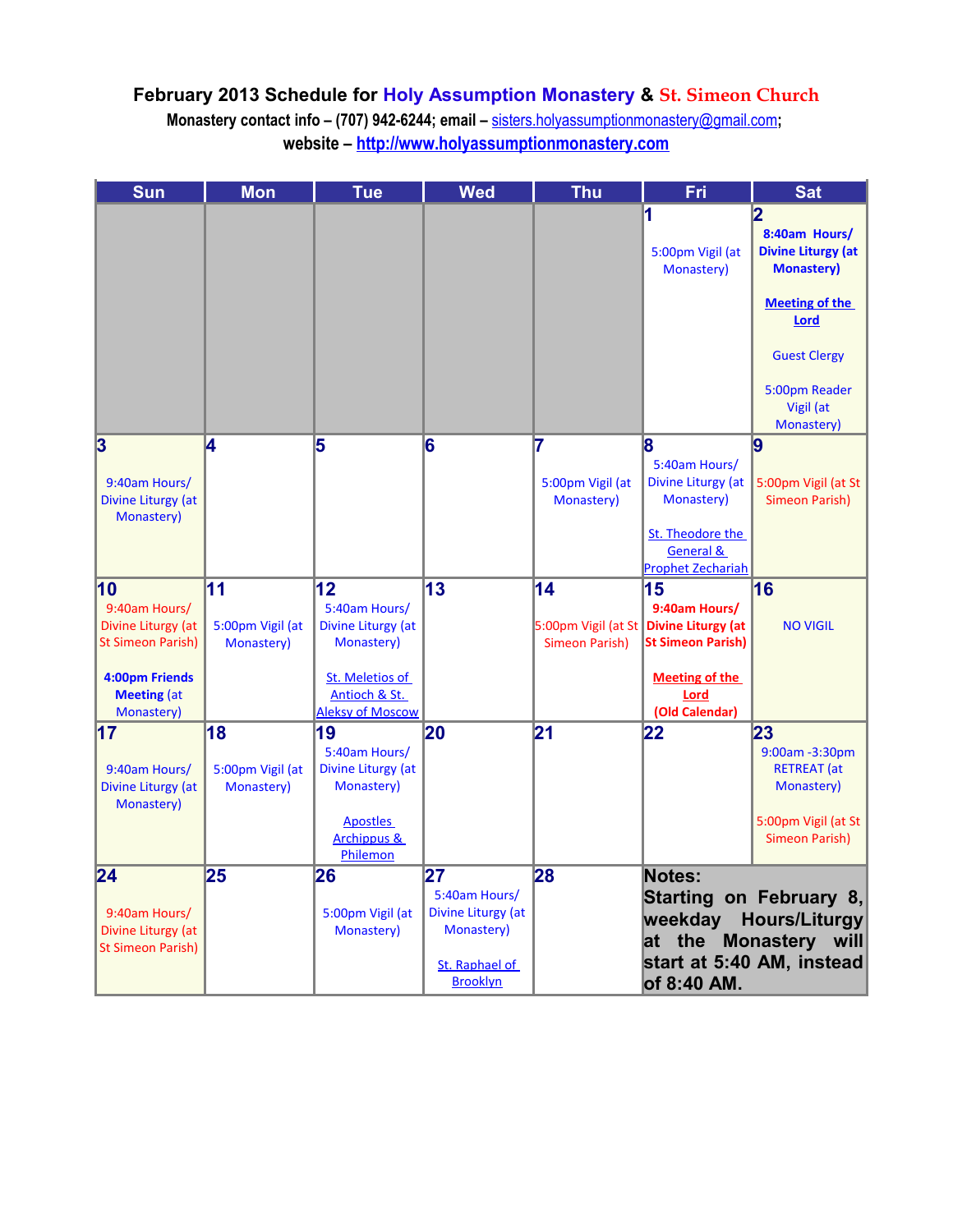### **February 2013 Schedule for Holy Assumption Monastery & St. Simeon Church**

**Monastery contact info – (707) 942-6244; email –** [sisters.holyassumptionmonastery@gmail.com](mailto:sisters.holyassumptionmonastery@gmail.com)**; website – [http://www.holyassumptionmonastery.com](http://www.holyassumptionmonastery.com/)**

| <b>Sun</b>                                     | <b>Mon</b>       | <b>Tue</b>              | <b>Wed</b>         | <b>Thu</b>       | Fri                                      | <b>Sat</b>                |
|------------------------------------------------|------------------|-------------------------|--------------------|------------------|------------------------------------------|---------------------------|
|                                                |                  |                         |                    |                  | 1                                        | 2                         |
|                                                |                  |                         |                    |                  |                                          | 8:40am Hours/             |
|                                                |                  |                         |                    |                  | 5:00pm Vigil (at                         | <b>Divine Liturgy (at</b> |
|                                                |                  |                         |                    |                  | Monastery)                               | <b>Monastery)</b>         |
|                                                |                  |                         |                    |                  |                                          |                           |
|                                                |                  |                         |                    |                  |                                          | <b>Meeting of the</b>     |
|                                                |                  |                         |                    |                  |                                          | <b>Lord</b>               |
|                                                |                  |                         |                    |                  |                                          | <b>Guest Clergy</b>       |
|                                                |                  |                         |                    |                  |                                          |                           |
|                                                |                  |                         |                    |                  |                                          | 5:00pm Reader             |
|                                                |                  |                         |                    |                  |                                          | Vigil (at                 |
|                                                |                  |                         |                    |                  |                                          | Monastery)                |
| 3                                              | 4                | 5                       | 6                  | 7                | 8                                        | 9                         |
|                                                |                  |                         |                    |                  | 5:40am Hours/                            |                           |
| 9:40am Hours/                                  |                  |                         |                    | 5:00pm Vigil (at | Divine Liturgy (at<br>Monastery)         | 5:00pm Vigil (at St       |
| Divine Liturgy (at<br>Monastery)               |                  |                         |                    | Monastery)       |                                          | Simeon Parish)            |
|                                                |                  |                         |                    |                  | St. Theodore the                         |                           |
|                                                |                  |                         |                    |                  | General &                                |                           |
|                                                |                  |                         |                    |                  | <b>Prophet Zechariah</b>                 |                           |
| 10                                             | 11               | 12                      | 13                 | 14               | 15                                       | 16                        |
| 9:40am Hours/                                  |                  | 5:40am Hours/           |                    |                  | 9:40am Hours/                            |                           |
| Divine Liturgy (at                             | 5:00pm Vigil (at | Divine Liturgy (at      |                    |                  | 5:00pm Vigil (at St   Divine Liturgy (at | <b>NO VIGIL</b>           |
| <b>St Simeon Parish)</b>                       | Monastery)       | Monastery)              |                    | Simeon Parish)   | <b>St Simeon Parish)</b>                 |                           |
| 4:00pm Friends                                 |                  | St. Meletios of         |                    |                  | <b>Meeting of the</b>                    |                           |
| <b>Meeting (at</b>                             |                  | Antioch & St.           |                    |                  | Lord                                     |                           |
| Monastery)                                     |                  | <b>Aleksy of Moscow</b> |                    |                  | (Old Calendar)                           |                           |
| $\overline{17}$                                | 18               | 19                      | 20                 | 21               | 22                                       | 23                        |
|                                                |                  | 5:40am Hours/           |                    |                  |                                          | 9:00am - 3:30pm           |
| 9:40am Hours/                                  | 5:00pm Vigil (at | Divine Liturgy (at      |                    |                  |                                          | <b>RETREAT</b> (at        |
| Divine Liturgy (at<br>Monastery)               | Monastery)       | Monastery)              |                    |                  |                                          | Monastery)                |
|                                                |                  | <b>Apostles</b>         |                    |                  |                                          | 5:00pm Vigil (at St       |
|                                                |                  | <b>Archippus &amp;</b>  |                    |                  |                                          | <b>Simeon Parish)</b>     |
|                                                |                  | Philemon                |                    |                  |                                          |                           |
| 24                                             | 25               | 26                      | 27                 | 28               | <b>Notes:</b>                            |                           |
|                                                |                  |                         | 5:40am Hours/      |                  |                                          | Starting on February 8,   |
| 9:40am Hours/                                  |                  | 5:00pm Vigil (at        | Divine Liturgy (at |                  |                                          | weekday Hours/Liturgy     |
| Divine Liturgy (at<br><b>St Simeon Parish)</b> |                  | Monastery)              | Monastery)         |                  |                                          | at the Monastery will     |
|                                                |                  |                         | St. Raphael of     |                  |                                          | start at 5:40 AM, instead |
|                                                |                  |                         | <b>Brooklyn</b>    |                  | of 8:40 AM.                              |                           |
|                                                |                  |                         |                    |                  |                                          |                           |